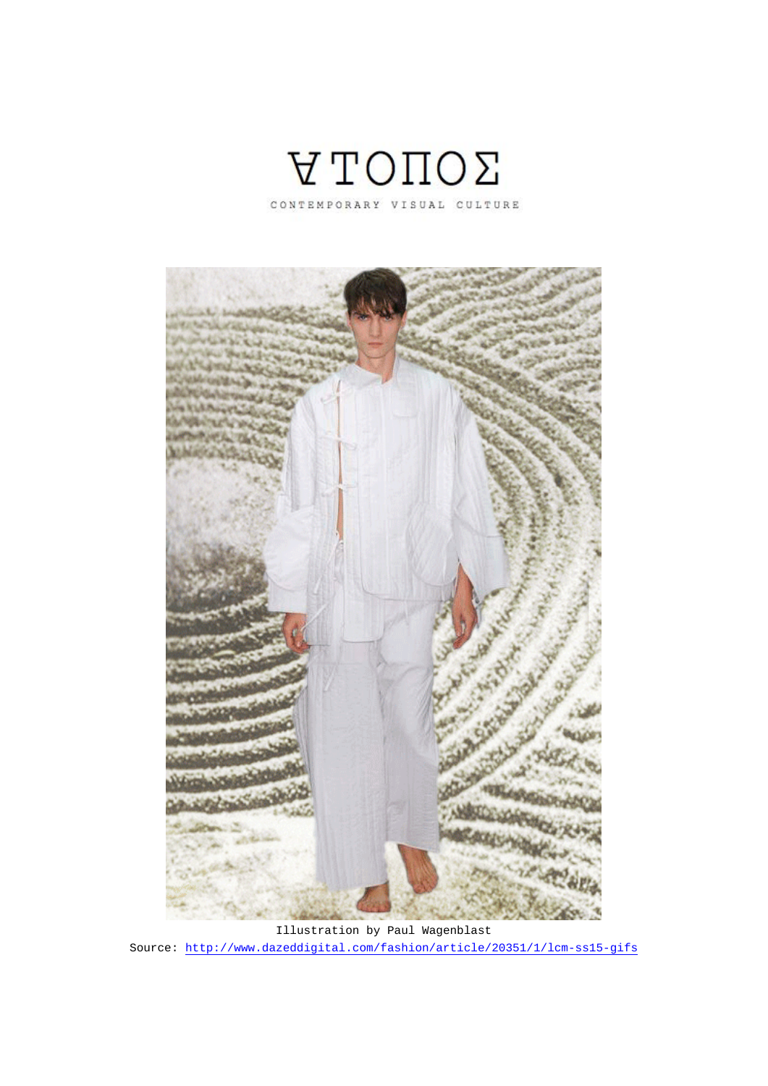

CONTEMPORARY VISUAL CULTURE



Illustration by Paul Wagenblast Source: http://www.dazeddigital.com/fashion/article/20351/1/lcm-ss15-gifs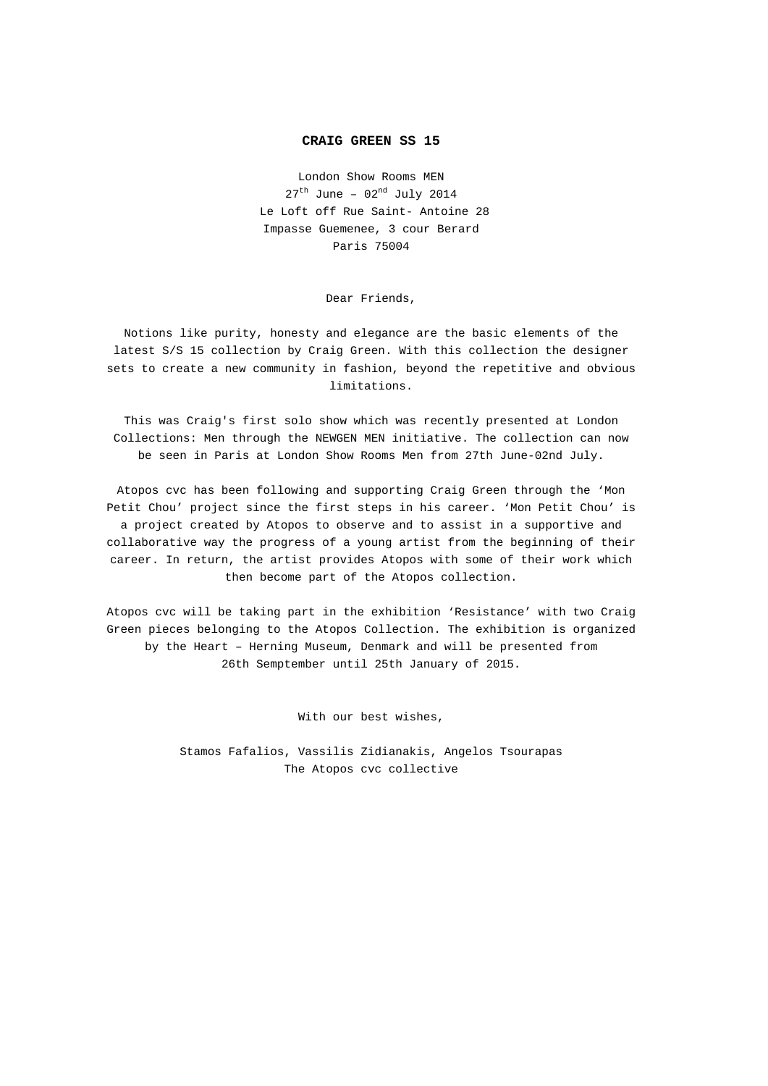## **CRAIG GREEN SS 15**

London Show Rooms MEN  $27<sup>th</sup>$  June -  $02<sup>nd</sup>$  July 2014 Le Loft off Rue Saint- Antoine 28 Impasse Guemenee, 3 cour Berard Paris 75004

Dear Friends,

Notions like purity, honesty and elegance are the basic elements of the latest S/S 15 collection by Craig Green. With this collection the designer sets to create a new community in fashion, beyond the repetitive and obvious limitations.

This was Craig's first solo show which was recently presented at London Collections: Men through the NEWGEN MEN initiative. The collection can now be seen in Paris at London Show Rooms Men from 27th June-02nd July.

Atopos cvc has been following and supporting Craig Green through the 'Mon Petit Chou' project since the first steps in his career. 'Mon Petit Chou' is a project created by Atopos to observe and to assist in a supportive and collaborative way the progress of a young artist from the beginning of their career. In return, the artist provides Atopos with some of their work which then become part of the Atopos collection.

Atopos cvc will be taking part in the exhibition 'Resistance' with two Craig Green pieces belonging to the Atopos Collection. The exhibition is organized by the Heart – Herning Museum, Denmark and will be presented from 26th Semptember until 25th January of 2015.

With our best wishes,

Stamos Fafalios, Vassilis Zidianakis, Angelos Tsourapas The Atopos cvc collective